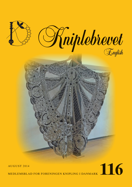

# AUGUST 2014

MEDLEMSBLAD FOR FORENINGEN KNIPLING I DANMARK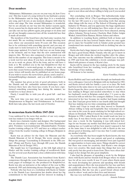## **Dear members**

'Midsummer, Midsummer, you are on your way, oh, how I love you'. This line is part of a song written by my husband, a praise to the Midsummer and its long, light days. It is a wonderful, airy song, and I do not, at any moment, disagree with what he writes and sings. The time around Midsummer is wonderful, but we are already on our way into the darker seasons again. Every season has its charm and its own 'hustle and bustle'. We can take out our lace pillows again, join groups or sit alone and get all our thoughts connected into all the wonderful lace that is made all around.

The members of the board have also had some vacation, but not much. We are working towards the annual meeting next year, where our association turns 30 years old. This occasion has to be celebrated with something special, and you may already start to look forward to it. We also work on getting our home-page updated. It is hard to find way on our home-page at the moment, and we hope that the new construction will improve this. We have also composed a form, which you can find in this number of our magazine. This form is meant to be a work tool for new ideas. If you have an idea for something for us to work on, please, fill in the form, and we will have a look at it. We notified you in the last Kniplebrevet that we have established a news-mail-group, to whom we send out news that occurs between publications of Kniplebrevet. These news- letters will mostly also be published on our home-page. If you wish to receive the news-letters, please, send a mail to… formand@knipling-i-danmark , and you will be established in the group.

The summer has given us lots of good adventures, both in the Danish and the outlandish summer-landscapes, and in between there have also been lace-events. If you have experienced something concerning lace during the summer, we would love to hear about it.

Finely, I would like to wish you all a good fall - and lace season.

The next time you may meet our association, will be at 'Kniplemessen in Slagelse 'and 'Fritidsmessen in Fredericia'. Both fairs take place the last week-end of October.

#### **In memoriam Karin Hoffritz 1947-2014**

I was saddened by the news that another of our very competent lace makers is no longer with us.

Karin was a fantastic teacher and designer. Her background was an education as a subject teacher, first from Haandarbejdets Fremmes Lærerseminarium (Haandarbejdets Fremme teacher training college) in 1971 and later as a subject teacher of lace from the teacher training college in Bruges, Belgium in 1988.

Karin was an adviser for the Open Air Museum and the Danish Museum of Art & Design. She wrote among other things the passage 'Lacemaking in Denmark in the 20th century' (Pomp and Poetry, Lace through 400 years, the Danish Museum of Art & Design 1991).

She taught lace in Copenhagen, at the folk high school in Haslev and the teacher training college of needlework Skals etc. For several years Karin had a close collaboration with Jana Novak.

The Danish Lace Association has benefitted from Karin's competence through the years. Numerous are the articles, patterns, pages of technique etc. she produced for Kniplebrevet. Karin was also an instructor at the subject of the year in Blumenwerk 1995 and christening dresses through the ages, 2000.

Nobody who has been at a workshop with Karin in Tønder or in the Danish Lace Association has doubts about her big commitment to the handicraft and her interest in making it well known, particularly through clothing. Karin was always open to new ideas and always willing to help you if you needed it.

Her concluding work in Bruges: 'Det københavnske kniplemiljø i de sidste 100 år' (The Copenhagen lacemaking milieu for the last 100 years) is a very interesting work that among other things tells the story of The School of Drawing and Art Industry for Women, and you appreciate the huge significance it had to why we are still making lace. Here some of our most competent designers and teachers have been educated, among others, Johanne Nyrop-Larsen, Charlotte Rud, Esther Jedgin Winkel, Astrid Elton Hansen, Helene Schou and others.

In addition to teaching Karin exhibited both at home and abroad, latest at the lace festival Tønder where we once again got to enjoy her beautiful work in Tønder point ground lace transformed into modern demand both in clothing but also in jewellery.

Karin also had a huge impact on lace making in Japan where she had a good friend, Miako Yasuda, who she got to know in Bruges and with whom she worked together after the education. One outcome was the exhibition 'Danish Lace in Japan' in 1995 and from this exhibition a lovely catalogue was published with pictures of many of Karin's lace.

Karin will be missed in the lace making circle by the many who benefitted from her teaching, lovely patterns and huge knowledge of lace making.

All honour to her memory

#### *Karin Vontillius, Odense*

Karin Hoffritz and I met each other through our husbands who were colleagues. I moved to Belgium with my husband in 1983, and Karin arrived with her family a year or so later. We both had boys in the same class so we saw a great deal of each other. Karin began the three years education to become a teacher in lace making in Bruges and needed somewhere to stay when her husband's work in Belgium ended after 2 ½ years so she moved in with us with her two youngest children. I was a little interested in her lace because my mother had begun making lace. But I had just given birth to our fourth child and thought that lace making was too time-consuming and difficult.

Karin and I kept in touch after they moved to Denmark. Always willing to help and hospitable they welcomed one of our sons in the years he spent studying for his high school certificate in Denmark. When I learnt that they were returning to Belgium in 1996, I asked Karin if she would teach me how to make lace. It was three lovely years where we met and made lace once a week. In the beginning it was with mixed feelings for me because my mother had died just before I started making lace so I could not tell her how much I enjoyed it, but at the same time it was delightful to talk to Karin as she was always good at listening, and it was nice that I could continue my mother's hobby.

As everybody who has been taught by Karin knows, she was a splendid teacher. She was patient and good at explaining. She was good at encouraging, and mistakes were just regarded as opportunities to learn some more. Things should be correct but there was room for creativity. And Karin's own designs were very creative. She made many fine things that were not only pretty but also good to learn from. There were often challenges in her design but also great simplicity.

I also had the pleasure of spending a week by the Belgian shore with Karin and her friends from Bruges where we made lace for all we were worth. It was 12 years where Karin spent the week developing her patterns and speaking with friends and acquaintances. Here she was praised for her lace and here she could talk about her lovely children, children-in-law and grandchildren. But she was also a good friend: always interested in others' work and in their lives and interests.

She was very well liked and will be greatly missed.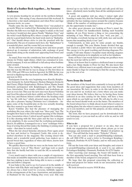# **Birds of a feather flock together… by Susanne Andersen**

A very precise heading for an article on the northern Jutlandian lace fair – this saying, if any, characterized this weekend. It is therefore a fair much anticipated, and when Peter and Inge Sørensen invite, we come.

Finally came the day when "Madame Grey" was packed to go north. When we reached Ejer Bavnehøj she protested a bit, whether the hills were too high, the engine to small, or the load too heavy, I would not dare guess. Finally "Madame Grey" and the writer reach Hjallerup Kro, where a couple of good friends join for a good lunch before the hard work starts in "Kulturhuset". One should always strive to join the practical with the pleasurable. The joy of reunion starts here, the "Kulturhuset"is a wonderful place, and the rooms bid you welcome.

As the afternoon grew into evening, more and more people showed up. A murmur of admiration, talk, exchange of good ideas hums along as the stands start appearing from boxes and crates.

As usual, Peter was the considerate host and had made provisions for Friday night dinner, which was consumed in wonderful company. It was not difficult to fall asleep when bedtime came around.

Peter started Saturday by bidding us welcome and told us that this was the 8th fair he was in charge of. The first three in 1993, 1994 and 1996 were held in Agersted. In 2000 the fair was moved to Hjallerup that has hosted it in 2000, 2006, 2008, 2011, and now in 2014.

Participants from the very beginning were Karelly, Kniplestuen (formerly by Astrid Hansen), Hedens Hørgarn (formerly Juul Garn), Elkjær Knipleudstyr, Helene Schou, Hanne Sonne (formerly participated with Kniplelauget), and The Danish Lace Association. New stands, exhibitors and workshops appear at every fair. This year the new ones were Karen Vontilius and Gerd Stevnhoved with their exhibit on Vibeke Ervø's free style lace, and Helene Schou's exibit where the heading could be "my life with lace" which attracted many people. Now, it was also a pleasure buying Christmas tree's ornaments – imagine, some of the beautiful pins on the tree actually shouting that they wanted to go home with me!

Karen Vontilius also had the pleasure of managing the workshop this year, where the topic was "three pair" lace. The thoughts flew back to the 2010 national meeting of The Danish Lace Association where I pitted myself against this technique. It is like drawing with the three pairs and the lace is elegant in its simplicity. It also seemed that the workshop participants liked it. In addition, I managed to see a "new" technique with a loop of sewing thread that makes the finishing or joining much easier – that must be tested, really.

When the fair closed Saturday afternoon, Peter again acted the host and invited to Voergaard Castle; this event is described elsewhere in the magazine. The evening closed with dinner and a wonderful social gathering. Lace makers are a special breed that, regardless of when and where, knows how to have a good time.

We quickly discovered that we were on the home turf of our dear treasurer. Lots of "Hey Bente" and hugs took so much time that she hardly had time to tend the till, so naturally we took over.

I very much want to share with you a couple of experiences that made an indelible impression on me, and rammed it home that lace making is more than being able to move a couple of pins and follow a diagram.

It was balm to the soul to see Lis Larsen sit in the middle of the floor with Elly Rabe and laugh like a couple to teenagers. Lis always has a kind word for everyone, faithfully supports all the arrangements of the Lace Association, and participates in Hadsund for the Lace Making Day every year. Elly only showed up to say hello to her friends and talk good old lace times - absolutely more healthy than all the antidepressants of the world.

A great old neighbor told me, when I visited right after learning to make lace, that the National Health Board ought to subsidize the lace making courses around the country, because "think of the number of antidepressants saved by giving people the opportunity to make lace".

An other great pleasure was looking at Peter's stand. Imagine the borders for handkerchiefs making such beautiful napkins, oh yes, Peter knows a thing or two concerning the mounting of lace. When asked he says "well, you just…..", well thanks, everybody having sat with cloth, lace and needle knows that mounting nicely is not "just".

Unfortunately, as time goes by some people say thanks, enough is enough. This year Hanne Sonne decided that age had reached a point where fair participation was too taxing. The energy is to be spent teaching and drawing diagrams. Personally I will miss Hanne's beautiful stand showing elegance and a differentiation in its simplicity as well as her kindness.

Some of Peter's last words before saying our goodbyes were that the next fair will be in 2017.

Many of us know that it requires a dedicated man to arrange such a fair. Many thanks to Peter for that. We also know that behind every efficient man is an equally efficient woman. Also many thanks to Inge for continuing to find the energy to bring joy to the rest of us.

#### **News from the board**

The members of the board tries constantly to keep up with all the good ideas and suggestions that come from members of our association. We have, in order to do this task better both for you and for us, worked out a form where you can make your ideas known. We believe that we, by having these forms collected in an idea catalog for the future, will have a base upon which we can build our work. We will also be able to see what our board should work on in the future. The members of the board always have to think ahead, in part when it comes to making plans, but also when it comes to pass projects and ideas on to you members, and for this purpose, an idea catalog can be of great help.

The form, that we have prepared, can be downloaded from our homepage, or you can mail us, call or write us, and we will send it to you.

#### *What to do:*

If you have a proposal for a project or an idea, that you think our organization should know about, please, go to our homepage and download the form " Blanket til projekter og ideer". You will find the form under "Nyheder" (News).

You can also send a mail to projekt@knipling-i-danmark. dk, call 2868 6706 or send a letter to Foreningen Knipling i Danmark, Postboks 94, 6270 Tønder, and we will send you the form.

Fill out the form with your ideas and thoughts, and return it to projekt@knipling-i-danmark.dk or send it to our address: Foreningen Knipling i Danmark, Postboks 94, 6270 Tønder

After receiving your massage, the board will handle it on the first upcoming board meeting. You will then hear from a member of the board, assigned to your project.

We hope that this proposal concerning the collection of ideas and projects for future work in our association, will be well received.

We look forward to receive YOUR idea.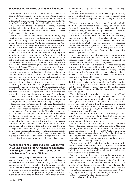#### **When dreams come true by Susanne Andersen**

On the coastal road in Hornbæk there are two women who have made their dreams come true; they have taken a gamble and started their own firm. You have been able to meet them at fairs, first under the name Citrongarn, and now under the name Make or Made. The dream is to be able to play with patterns, colours and thread. This takes place through weaving, knitting and last but not least through lace making. It was lace that made me start Madam Grå and set out towards the east. And it was worth the journey.

Bettina Popp-Madsen and Zuzana Sadlonova really play with thread and colours, and their design shows that they know what they are doing. They met each other in 'Kronværkerne', a shared shop at Kronborg Castle, and discovered that they shared an interest in design but first of all for the actual process of design. It is first when the idea comes into existence that the techniques are thought into the design. When an idea is made, it is not decided immediately whether it is going to be a knitted, weaved or lace made design. As an art teacher I am very impressed with the attention to detail and the resolution not to stick with one technique but let the process decide. At first I do not think that the cliff of Møn or fossils can be made into lace but I learnt something new after a conversation with Bettina and Zuzana. When I see a skeleton of a sea horse, I think of nature, but not at Make or Made where a skeleton is thought as a design. And today there is the loveliest lace made sea horse that is made in silver on the actual drawing of the skeleton. I was allowed to look into the most sacred: the portfolio with drawings and ideas and I look very much forward to see what will be made out of the lovely drawings.

Bettina graduated from the textile programme at The School of Decorative Arts, now The Royal Danish Academy of Fine Arts Schools of Architecture, Design and Conservation. She has worked as a textile designer for Martinique/InWear and has made patterns and design for their use. Bettina is part Danish and part Dutch, and she has lived in Sweden for many years where she got to know the traditional Swedish textile techniques including the Vadstena lace making technique.

Zuzana is both self-taught and has attended Tekstilskolen, Håndarbejdets Fremmes Skole (the school of textile) in Holte. She also has a master's degree in Chinese and intercultural communication. Zuzana was born in Slovakia but she had lived in China, Thailand, Sweden and now here in Denmark. She likes very much to play and experiment with the Slovakian lace making traditions. She particularly likes tape lace, which happened to be some of the first I saw in their shop because there was a dummy dressed in the model of her wedding dress and on the wall was the lace that will decorate the dress. On 16 August Zuzana is going to get married, so every free moment is used on lace making. And I wonder if Zuzana might be persuaded to let the dress be exhibited so the rest of us can be inspired. On Make or Made's Facebook page you can follow the wedding dress project: www.facebook.com/makeormade.

# **Männer und Spitze (Men and lace) - a talk given by Lothar Stang on the German lace conference in Hattingen, April 25th – 2014 – some of the main issues by Marianne Nielsen**

Lothar Stang (1) had put together an hour talk about men and lace that I looked very much forward to hear. How this could connect with Spitze Kleidet (Lace adorned) that in German can mean many things, I thought not to be difficult to understand. One have always on old paintings seen that especially men liked to adorn themselves with lace, with which they could show off their wealth, power and importance. It turned out to be an hour where we as audience were taken on a tour

in time, culture, war, peace, aristocracy and the peasants struggle for survival.

The pictures in this article are not of the best quality, as they have been taken from a screen – I apologize for this, but have decided to use them in spite of this, as they support the message.

What was the occupations of the men of the past? - to build the house, and the woman's was to arrange and to adorn it. For that they used lace for bedlinen, tablecloths and curtains. In meager times, the men had to chip in making lace, for ex. in Erzgebirge and in England, in order to make ends meet.

But there were other reasons for men to make lace. Many men were wig-makers, but as fashion changed, and wigs got out of style, many wig makers started to make lace out of hair.

Many of the men that became lacemakers, were well dressed and well off, and on the picture you see one of these men, properly dressed, sitting by his lace pillow(2). The uniform of a lacemaker of the time. As quoted from the talk: "lace making became a gentleman's sport".

Many men made lace out of interest, but even more, wore lace whether because of their social status or due to their official dress. In the 17. and 18. century regents, noblemen, officers and officials wore lace – and lace was expensive.

A French nobleman had expressed that lace equaled the worth of gold. There were noblemen that had to sell off farms and life stock in order to buy the lace that belonged to the dress code in the French nobility. The story also tells, that a French aristocrat had uttered that he walked around with 32 hectare vineyard around his neck.

Lothar Stang also told a story regarding the Spanish war in the 18th century between France and Spain. The French officers had to be properly dressed. However, their lace was dirty, and they needed them replaced. They asked Spain for a cease fire, which was granted them. The lace was renewed - and the war could go on.

The catholic cardinals wore lace in the 18th century (3) and the English mayors still do today. The head mayor of York was given new lace in year 2000 (Lacemaker , June 2000) and if you take a peek into the publication "The London Mayors Association", you will in their magazine from Spring 2011, on this webside: http://www.londonmayors.org.uk/docs/ LMANews0511.pdf, page 12-13, find a multitude of mayors of London wearing beautiful lace.

After having talked about mens love for wearing lace, the rest of the speech told about the tools and other equipment used in lace production. As expected, men always played a big role in this part of the lace production.

Men have had a role in everything from making the pillow stands to harvesting the hay used in the lace pillows. Men have also caught the fish – especially in the Baltic countries - from which the bones were used for pins(4). Well, I have never thought about what lacemakers used before they had pins – but, of course, fish bones have been a good solution!

Men also produced the paper and thread, and later on, also developed the lacemaking machines(5).

We also heard about Tzar Peter the Great in connection with men's relations to lace-production . He opened lace-schools and hired a "pricker" as a skilled worker. He, being a man, was looked upon as the family-provider and therefore had to earn more than the female lacemakers!

Men were also employed as pattern designers in order to improve the prickings and in order to "give the soul of the lacemaking, the pricking, the right sense of style". Venice, Bayeux and the Vienna School also had men employed as "lace translators" and designers. Domenico Petri opened a school in Sansepolcro and also developed his own lace. You can see one of his patterns in picture no.6 (6) and read more about it here: http://digilander.libero.it/gloriavalli/esansepolcr.html and

http://web.tiscali.it/merlettoitaliano/storia/ merlettodisansepolcro\_e.html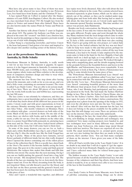Men have also given name to lace. Four of them was mentioned in the talk, whereof two were familiar to me: Petterson Lace, free-hand laces from Scania, and the Christian IV lace.

A lace named Point de Colbert is named after the finance minister of Louis XIIII, Jean Baptiste Colbert. He also worked as a lace merchant from about 1765. He bought lace from the makers in Venice and named them after himself. These laces are also known under the names Point de Venice and Point de France.

Another fun history tells about Charles I' court in England from about 1631. The painter Sir Anthony van Dyke was employed at his court. He "created" van Dyke Lace, timeless lace, that he used in his paintings so these expensive portraits would not go out of style with changing fashion.

Lothar Stang is a fascinating storyteller, and before I knew it, the hour had passed, I had gotten a lot wiser and inspired to dive deeper into another exciting corner of the history of lace.

## **Lace at the powerhouse Museum in Sydney, Australia, by Helle Schultz**

Powerhouse Museum in Sydney, Australia, is really worth a visit for us lace lovers. The museum is gigantic. In square meters, it is the biggest museum in Australia. It contains more than 500.000 items, and everything is there, from spaceships, steam engines, whole trains and Mars-vehicles to the development of computers, furniture design and what to wear when. And, also the finest of lace.

The museum has four floors. One step down after having entered the museum, and a walk as far as you can go, and you find a little room, containing an enormous treasure. The room is called 'Lace Study Centre'. You are able to do serious studying of lace here. There are about 300 pieces of lace from all over the world, both needle lace and bobbin lace, representing the last 500 years.

The lace centre is run solemnly by volunteers, and they are enthusiastic, have a great knowledge and are more than willing to tell what they know about all the different lace peaces in the centre. I stood, ready and with great expectations, in front of the entrance Monday morning when the museum opened. I met Alice Vokac , who mostly volunteers on Mondays. There are cabinets with glass - covered drawers on both sides of the room. Much of the lace is shown in them. On one side of the room, there are shelves with books, and in the middle of the room, a table for our use. Over the cabinets on the other side, there is a poster board filled with postcards etc. picturing laces from near and far. There are also three locked metal cabinets on this side of the room, but I will come back to them later.

In some of the many drawers, you can see for ex. both a black and a white Bedfordshire lace (fig.1), and a black Chantilly lace (fig.2). Also the needle lace, like the Irish Yougal lace on fig.3 is pretty. Many of the pieces have fantastic, curved flower garlands of different kinds, but my chin really dropped when I opened the drawer containing one of the oldest pieces of lace in the collection (fig.4). This is a needle lace, dated back to the 16oo's. The motive is the heroine Judith, saving the Jews under siege. She goes in to the enemy's camp and finds general Holofernes. She seduces him, makes him drunk and kills him with his own sword. The enemy flies the next morning. On fig.4 you can see Judith putting the general's head into a bag, held by her servant. His decapitated body is seen to the left. The details of the lace are stunning. See for ex. how nicely the three fingers stand out. Even the blood, streaming from the body, is not forgotten! Shiny, red silk thread is used for the blood, and for the hair on the three persons and the general's beard, real hair has been used. An exciting, but bloody history is described in this piece of lace.

Alice and I spent a wonderful time together, and different

lace topics were lively discussed. Alice also told about the last three locked cabinets in the room. They contain selected laces, mounted separately in glass frames, which can be taken completely out of the cabinet, so they can be studied under magnifying-glass and from both sides. But having had so much to talk about, the time had ran out, so I stood ready again when the museum opened Tuesday morning. This time another volunteer was present, Judy Hammond.

Besides our lively conversation, the Monday had been quiet in the lace centre. It was only two visitors that day. The Tuesday was quite different. People came and went through the whole day. Many students from the local design school came in order to get inspired by the old lace for a project they were working on. To have a little conversation with them was also exciting. Well, I had to get going with my own project, so I asked Judy for the key to the locked cabinets, but the key was not there! Calls for help were made to this and that person, perhaps for an extra key, but to no use. But, with a visitor all the way from Denmark, a key had to be found. A lady employed by the museum came to help in the hunt for the key. Happily, it had only hidden itself on a shelf up high, so it was difficult to see. The cabinets were opened, and I could start. We looked through a lamp with a magnifying glass, and the details stepping forward in the grounds between the beautiful flowers and leaves in the tight Binche- and Valenciennes -laces, were remarkable. It was a big pleasure to look at them. Fig. 5 shows a Valenciennes lace and fig. 6, some details from the same piece of lace.

The 'Powerhouse Museum International Lace Award' was given out in 2011, and an exhibition called 'Love lace' was set up in connection with this. The museum also published a book with the title 'Love lace – Powerhouse Museum International Lace Award' containing beautiful pictures of the more than 100 different final projects from 20 different countries. Alice Vokac, who I met Monday, had participated, and her project was pictured in the book. She had made the Sydney Harbour Bridge in lace. This is, like the Sydney's Opera House, also an Icon for the Sydney's harbor. Alice had used different Milanese tapes for parts of the bridge's lattice-constructions. Her inspiration was a photo from the opening of the bridge in 1932, and even the old photos were put into the lace. Very impressive indeed! Alice told me that the museum has the lace, but it does not belong to the pieces available for the public yet. I hope that this will change very soon. There are pictures of the lace on the internet. There are some links underneath.

In the judging of the lace, the visual effect, originality, creativity, new-thinking in design, materials and techniques, was considered. Very many exciting projects were handed in, and lace techniques were used in many different ways. Another finalist was Joep Verhoeven, who makes large metal thread fences with lace motives. The fences are exported all over the world. The usual metal-fencing for ex. around sports arenas, are not very nice looking, but when they are made in big lace patterns, that's another story. You can find many examples of them on the internet. I have given you some of the links underneath.

All in all I had a terrific time in the 'Lace Study Centre'. It is no doubt in my mind that I will do it again if I get the opportunity, but it is far from Denmark. Happily, we got the internet, and I have collected many links for related home-pages for you underneath.

The hidden treasure in the 'Lace Study Centre' is not only special because of all the beautiful and historical lace, but also because of the volunteers and their big efforts. And how wonderful it would be, if we as visitors were able to see even more of the lace in this beautiful collection.

#### Links:

Lace Study Centre in Powerhouse Museum, were from lots of pdf-files containing many exciting things can be down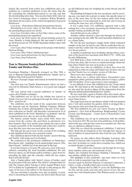loaded, like material from earlier lace exhibitions and a description on a vacation dedicated to lace. Be aware that the file containing the classification-system is very big, and that the downloading takes time. You can also find a little video on the Centre's homepage where a volunteer, Robyn Weinholt, tells about the lace piece of the violent decapitation of general Holofernes:

Love Lace – Powerhouse Museum International Award:

Introducing Love Lace, video on You Tube, where some of the participating projects are shown:

Love Lace Unveiled, video on You Tube, where some of the participating projects get unpacked:

Love Lace, the News where the Award-winning project by Anne Mondro is being displayed. She had made a model of an old Ford-motor in 3-D. 20.000 Australian dollars came with the award:

Love Lace, Alice Vokac working on her project with Sydney Harbour Bridge:

Love Lace, Alice Vokac's finished project:

Love Lace, metal thread fence by Joep Verhoeven: Lace fence, Joep Verhoeven:

#### **Tour to Museum Sønderjylland Kulturhistorie Tønder and Drøhses Hus.**

Foreningen Knipling i Danmark arranged, on May 30th, a trip to Museum Sønderjylland Kulturhistorie Tønder and to Drøhses Hus, both located in Tønder.

We were 18 people, happy and excited, in wonderful summer weather.

Our first stop was Tønder Kunstmuseum, where we had a tour led by Elsemarie Dam-Jensen, a very good and engaged guide.

The tour started with a special exhibition on 'huelin', of course all in Tønder-technique.

This exhibition was set up for the bobbin lace festival in Tønder last year, but was prolonged through the whole year of  $2014$  – good for us!

The exhibition was the result of the cooperation between the museum and an American, Michael Guisiana. Michael Guisiana has, in short, photographed a big part of the museum's collection on 'huelin' and thereafter reconstructed 10 of them, published in the book 'Spindelvæv og drømme' and the reconstructions were also on view in this exhibition.

The history around 'huelin' starts about 1830, where the women from the country side used them as adornment over their bonnets. They were mostly worn outside the caps, so that as much as possible of the beautiful (and costly) lace could be seen. But they were also seen used under the caps.

The lady got the cap to wear on the evening of her wedding, as this signalized that she was a married woman.

The exhibition showed both the flat 'huelin', used in Slesvig, and 'huelin' with wings, used on Zealand.

We continued to the permanent exhibition on Tønderlace: Den fineste tråd – kniplinger fra de sønderjydske museer. (The finest thread – bobbin lace from museums in Slesvig)

It was like being in a treasury. We entered a room with many cabinets, containing the most beautiful exhibitions. We saw, between others, an old Tønder-pillow, bobbins, a glass bowl for spreading the light, also the remedies, which the lace maker had to provide herself.

Also a Tønder-pillow with 'skrævl', pieces of leather, used for protection of the lace pillow. The 'skrævl' contains holes for stils. The Tønder pillow belongs to Ester Jegind Winkel, born 1915 in Ellum by Løgumkloster, and she is still among us. The name of the lace on her pillow, is 'the Passion-flower'.

The lace merchant's remedies were also on display: A yardstick to measuring the finished lace, the finest linen thread and an old fashioned scale for weighing the costly thread, and old prickings.

The prickings belonged to the lace merchants, and by receiving one, you made the contract to make this specific piece of lace, at the same time. As the lace makers made their living by making lace, it was important to work fast, and to keep on working the same lace, was of big help.

It was a glass from 1741 exhibited, engraved with a lady making lace, a lace merchant, measuring the finished lace, and another woman, probably his wife.

And all this just in one cabinet!

Another cabinet showed a time-trip through the history of lace, starting in the late 1600. The most beautiful exhibition, for ex. a black barbe.

We saw the lace merchant's sample book, which contained samples of the lace he had for sale. This he could show his costumers and they could order the amount of yards they needed of a chosen pattern.

A number of paintings were on display, among others, a portrait of the known lace merchant, Jens Wolf (1774 – 1858), and his wife, Wilhelmine.

Jens Wolf kept a diary of his life as a lace merchant, and it is from this diary, that we have so much knowledge about the time when Tønder lace was on its peak as a trade.

Lille laces were also on exhibition, as these have been the inspiration to what we today call Tønder lace. In short, one can say, that Tønder lace is a simpler version of Lille-lace.

There were also samples of needle lace.

Finely, there was a cabinet with Queen Alexandrine's lace equipment: pillow, patterns, bobbins and not to forget, a pillow with 'Eternellen'. Even a queen has to start someplace.

It was difficult to leave this exhibition for the 2 hours lunch break. We had lunch in the beautiful town of Tønder, where we also used the break to digest all the impressions from the Museum Sønderjylland Kulturhistorie Tønder.

We met each other again in Drøhses Hus after lunch, where we saw two exhibits. We were again in the good hands of Elsemarie Dam-Jensen.

The main house has its own history, which I will not mention here. I will only mention the garden, which is arranged like a lace pattern, best seen from the second floor.

The first exhibition we saw, was 'Løver, Kroner og Monogrammer) – Grev Axel af Rosenborgs Kniplesamling' ('Lions, Crowns and Monograms – Count Axel of Rosenborg's Lace Collection')

This exhibition was set up in connection with the bobbin lace festival in 2013. We saw lots of beautiful lace, both bobbinand needle lace, and also lace sewn on to machine net. This was also an exhibition, difficult to leave.

After this, we visited the permanent exhibition, 'I tråd med tiden' about the development of lace through time and use of lace in fashion. It represented the time from the year 1900 and until now.

Of course, we also talked about Hansigne Lorenzen, who worked so hard in order to preserve the technique of Tønderlace after its decline as a trade due to machine lace, which was so much cheaper to produce.

 The exhibit was a fantastic trip through the development, fashion, colors, use and materials of lace. This display also included Foreningen Knipling I Danmark., and was another exhibit hard to leave.

The highlight of this wonderful trip came when we were able to look at materials from the archives. It was lace made by Katrine Thuesen. It contained a placemat, a barbe, a collar, a handkerchief and a woolen shawl.

Katrine Thuesen died in 2009, 91 years old. Bobbinlace was her life, and she made, and sold, many pieces of lace. She also made lace with Damekredsen (The Woman-circle) in Copenhagen.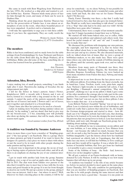She came in touch with Bent Wegeberg from Thyborøn in the late 1970's. He worked as a ship pilot and wanted to collect bobbin lace. Katrine Thuesen made many pieces of lace for him through the years, and many of them can be seen in Drøhses Hus.

Thinking about the great importance Katrine Thuesen has had for the preservation of Tønder lace, it was almost an atmosphere of awe in the room , when these beautiful pieces of lace were unpacked. A perfect end to a fantastic day.

I will take the opportunity to urge you to visit these exhibitions if you have the opportunity. They are really worth the visit.

> *Written by Anette Nielsen, Præstegårdsvej 12, 6771 Gredstedbro.*

## **The members**

Rikke is has been comfirmed, and we made bows for the table settings (from Forårskniplinger by Aase Nielsson) and flowers for the table (from Bord dæk deg, by Birgit Poulsen), all in bobbinlace. Rikke also did some of the lace, something she of course has learned from her grandmother.

> *Sincerely, Jette Thomsen Tøndervej 14, Vedsted 6500 Vojens*

#### **Adoration, Idea, Brooch.**

I enjoy making lots of small projects, something I can finish right after I start. Therefore,the making of brooches fits my temperament just right.

I fell for the flower in Anna's pattern: Anna's Flower, Kniplebrevet 100/9, a wreath with 4 flowers and 4 sets of leaves, formed in a wreath with a ring around on the in- and outside. I copied the parts of the pattern separately (flower and the set of leaves) and made 2 flowers and 1 set of leaves, put it together and attached it to a brooch-klasp.

I hope Anne also likes her pattern to be used as a brooch.

I plan on making more brooches during summer (ideas are already "in the making"), and my shawl, that had to give way for my brooch-craze ;-) I bet, something new will probably also show up during the summer, that will be made, when the season starts again.

*Good summer-wishes from Vita, Ørbæk*

#### **A tradition was founded by Susanne Andersen**

I have in more than a year been a member of "Knipling-gruppen" ("the lace-group") on Facebook. This is a group, where we share pictures, get help if needed, if we want to know the designer of a pattern, a lace piece we want to share with others or just the need to be in touch with other people sharing the same passion and big interest.

A decent tone is important in the group, the no-no of trading or buying copies of patterns from each other, and all in all, there is an emphasis on charing the joy of our common interest.

I got in touch with another lady from the group, Susanne Højbjerg, over a cup of tea and an apple-cake on the Slagelse Fair in 2013. The chat went from Tønder over parrots to the idea that it would be nice to meet face to face with the, by now, many and good friends in the group. It is not far from thought to deed in our world. We put up a poster in the group, asking if there was an interest. And it was – but where to meet?? Well, wherever we find a meeting place in the country, it will be far

away for somebody – so, we chose Nyborg. It was possible for us to rent Nyborg Husflids skole's wonderful rooms, and after some forth and back, the date was set for Easter Thursday, April 17th this year.

Finely, Easter Thursday was there, a day that I really had looked forward to, but a day that also gave my stomach butterflies. Would we really have something to talk about? or would it be a "flop" that only had to be done and over with? All the butterflies were gone after 5 minutes.

Unfortunately, there were a couple of last moment cancellations, but 21 happy lacemakers found their way to Nyborg.

We started off with home-baked roles, tea or coffee, while we unpacked our pillows and admired each others work. One heard the joyful sounds of "ah" and "oh" and "I would also love to make that one".

We discussed the problems with designing our own patterns, the copyright, and how important it is, that we honer this. We also talked about how to use bobbinlace today, so that it does not just end up in a drawer. We also discussed materials, well, we talked about lots of issues. But, we were a group of bobbinlace-makers, so we also made lace. There were quiet times where one only heard the sounds of bobbins dancing on the pillows, until the curiosity again took over, and we talked some more.

Members from many parts of Denmark was there, they came from Hadsund, Tønder, Slagelse, the Storstrøm area, Ølstykke, Bogense, Svendborg, Odense (we were backed up from many members from Funen this day), Nyborg and many other places.

It impressed me to see how diverse the lace pieces were on the different pillows. Everything from the finest eternelle, fan in band-lace, Lutac, Torchon, scarfs, vests, pixie-hats, angels, Aase Nielson's light-wreaths in wonderful fall colors, I had put Knipling i Danmark's annual competition, "Play with grounds", challenge no.1 up on my pillow. I think I gave some of the other members the courage also to take part in the competition. For a moment I thought I had double vision, as Jytte Bjørk's "Oak leaf" was not on one, but on three pillows. I also have to make that one – it is so beautiful.

Lene Birkely Nielsen's beautiful "Spring" was set up on one pillow. Lene is relatively new within the art of bobbinlace, and could not really find a pattern that suited her. So, she bought the German design-program and started to draw – how difficult can it be? Happily, nobody had told Lene, that drawing, that has to be learned, so by now, she designs the most wonderful patterns, that our group loves to look at. Lene has started to sell them, until now only through our Facebook-group, but is thinking about making a homepage.

It was a bit difficult for me to concentrate on my pillow and my own bobbins, as I was sitting next to Tove Hansen from Korsør – not because she talked too much, because that you can't do on such a day, but because she had the most beautiful bobbins imaginable. I got the history about how her husband had convinced an elderly lady in Copenhagen, that did not make lace any more, to sell him her bobbins, so Tove could get them and they would all be together. It was a whole life's collection of beautiful bobbins, that Tove got from her husband – is it possible to give a more wonderful gift?

Some of the bobbins of bone - the birds - had, however, flown over on her daughter's pillow.

We all got a pattern of an Easter-bookmark with us home, donated by Lone Nielsen. It will be exciting to see how many bunnies that will show up in our group.

"A tradition was founded" is the title of my article because we, before we parted, decided to meet again on the same place Easter Thursday, 2015. The only condition for participating is that you are member of Knipling-gruppen on Facebook, that one like to be with people charing the same interest and that one now how to have a good time – because it is one point on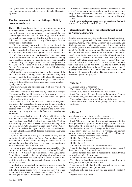the agenda only – to have a good time together – and when that happens among lacemakers, a sense of invaluable creativity occurs.

# **The German conference in Hattingen 2014 by Susanne Andersen**

The city Hattingen hosted the German conference this year. Hattingen has no tradition concerning bobbinlace, but is a city that, with the roots in heavy industry, has understood the need of entering into the new world of technology. I therefor looked very much forward to see how this town without any lace tradition would be able to lift the big duty of hosting the German conference of bobbinlace.

If I have to use only one word in order to describe this, the word must be "wauw". I have rarely been so impressed and so positively surprised as I was when we arrived to the conference on Friday morning. After a good walk we stood in front of "LWL Industriemuseum Henrichshütte", the main place for the conference. We looked around a bit puzzled, thinking that it could not be here – we must be on the wrong place. Big cranes, old rusty train wagons, train tracks well overgrown with weeds, it could not possibly be a place for a lace conference. But the German association knew what they did when they chose Hattingen.

We found the entrance and was taken by the contrast of the ruff industrial walls, the big, heavy and sometimes very rusty machinery and the fine, beautiful bobbinlace. The surroundings caused many men to be present this year. The exhibitions were on different floors, so there were many steps, not always equally easy to use.

The beauty, antic and historical aspect of lace was shown with a private collection.

The main exhibition this year was by Peter Paul Hempel. He presented his "bobbinlace dresses "in a very special and unique environment. The preparation had taken four years, but it was the waiting worth.

The name of one exhibition was "T-shirts – Mitglieder machen Mode". Students of the classes had the opportunity to shine up a T-shirt using bobbinlace. It mostly showed T-shirts adorned with lace, but one or two students had involved the shirt itself by cutting ribbons in the T-shirt and making lace with them.

One kept going back to a couple of the exhibitions in the museum, and they were difficult to leave again. One of them was "Nichts ist nicht Nichts", at first a peculiar title, "Nothing is not nothing", but the lace pieces showed the meaning of the title right away. Ruth Bühlman's design class, "Farbe" (Color) let the lace show how the negative surface can be used in order to design a highlight, and that this is so much more than just a place of nothing.

"Grüne Schienen im Rost" (Green tracks in rust) was an exhibition that, if anything, had found it's right place. In a ruff environment with cold walls and rusty machines, was all of sudden, the most beautiful lace. It had been a cooperation of 39 lacemakers led by Ulrike Voelcker.

Down in a misty cellar room, sending my thoughts to the casemates of Kronborg Castle, was an exhibition I think I returned to 5-6 times. "The Association of the Juriassienne Dentellières " stood behind this playing with techniques of filet- and bobbinlace. The lighting for the displays gave a dramatic impression, so that it once again showed us why they had chosen this venue.

Besides the mentioned exhibitions, there were of course the sales fair, that was located in a school this time. This caused difficulty to get an overall view over what was there, but it also meant that it was lots of room between the stands for lacemakers loving to look and – if possible – also to touch.

A trip to the German conference does not only mean to look at lace. The company, the atmosphere and the venue shape a unity, difficult to describe. A familiar face, lunch on the sunny marked place and the usual icecream at a sidewalk café are all a "must".

Next year's conference takes place in Saarlouis, Saarland, near the French border, April 10th to 12th.

## **Internationale Stunde (the international hour) by Susanne Andersen**

It is also work, when we go to a conference. Throughout the recent years, a cooperation has formed between the Netherlands, Belgium, Austria, Switzerland, Germany and Denmark, and this helps us focus on what happens in the different countries. We meet yearly in the common forum "Die Internationale Stunde" at the German conference. The latest approach is that the countries are asked to set up an exhibition at the conference. The exhibition has to show what the different countries have to offer concerning bobbinlace. It was LOKK, the Netherlands' bobbinlace association's turn to exhibit this year. The most beautiful classic lace was on display, and the most wonderful hats; hats so wonderful that the calender with the prickings had to be brought home. Denmark has been asked to exhibit next time, in 2016, where the conference will be in the north of Germany. Knipling i Danmark looks very much forward to go into this project.

# **Doily no. 3**

Idea,design: Britta V Jørgensen

Execution: Hella Jacobsen, Gråsten

Materials: 30 pairs of linenthread no. 28/2 or 35/2.

Start: Start on the diagonal line from the point on the outside corner. Hang the pairs on until you reach the middle.

The marked twists are worked throughout the lace.

Finish: Finish with the use of temporary threads or the way you choose.

# **Doily no. 2**

Idea, design and execution: Inge Lise Jensen

Materials: 24 pairs of Bockens linen thread 40/2

Start: Wherever you find it convenient according to the finish you choose. 2 pairs in the outer edge, are not drawn in through the whole pattern, but is worked throughout the lace.

Marked twists are worked throughout the whole lace.

Fig.1 shows how the star-spider is worked. Explanation on how to work a star-spider with 4 pairs. The bobbins are counted 1 through 8 from the left hand side.

Bobbin 2 over 3, 4 over 5, 6 over 7.

Bobbin 4 over 3, 6 over 5.

Bobbin 4 over 5.

Pin in the middle with 4 bobbins on each side.

Take the left hand bobbin nearest to the pin and weave it through the other 3, over, under, over.

Take the next left hand bobbin nearest to the pin and weave it through the other 2, over, under.

Continue until the last bobbin is laid over.

Take the right hand bobbin nearest to the pin and weave it through the other 3, under, over, under.

Take the next right hand bobbin nearest to the pin and weave it through the other 2, under, over.

Continue until the middle bobbins are crossed (bobbin 4 over 5)

Bobbin 4 over 3, 6 over 5.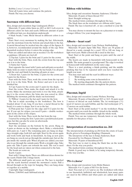Bobbin 2 over 3, 4 over 5, 6 over 7. Twist all 4 pairs twice and continue the pattern. Finish: The way you choose.

## **Snowmen with different hats**

Idea, design and execution: Inge Lindegaard, Ørslev

Materials: 21 pairs white linen no. 40/2 or 66/3. Left-overs in different colors for hats and scarfs. Different amount of pairs for different hats, see descriptions underneath.

6 black beads, 5 mm. Metal thread in different colors is an option.

Start: Start every snowman by making the hat. Afterwards, start the snowman from the bottom and attach him to the hat. A metal thread may be worked into the edges of the figures. It is, however, recommended around the shade of the cap. Twist linenstitch workers before it enters the sewing edge.

Pairs are added and taken out as needed. Use the worksheet as guidance. All pairs are tied off.

1) Top hat: 3 pairs for the brim and 11 pairs for the crown.

Start with the brim. Then, work the crown from the top and sew it in to the brim.

2) Santa hat: 9 pairs.

Start opposite the tassel with 3 pairs and add pairs as needed. Make holes in order to mark where the hat bends. Use all pairs until the end, and finish by knotting all pairs at once.

3) Straw hat: 3 pairs for the brim, 12 pairs for the crown and 3 pairs for the flower.

Start with the brim. Then, work the crown from the top and sew it in to the brim. Work the flower and sew it on to the finished hat.

4) Cap: 8 pairs for the crown and 11 pairs for the shade.

Start the crown. Then, make the shade and attach it to the crown. Make the snowman and work it over the brim, attaching it to the crown where the brim also was sewed in. After finishing the snowman, pull the shade out horizontal.

5) 'Pillbox': 6 pairs for the hat and 2 pairs for the bow.

The hat is made according to the worksheet. The bow is braided about 12 cm. long. If you have a metal thread in the braid, it is easier to shape. Sew it on to the hat.

6) Pom-pom hat: 5 pairs for the edge and 8-12 pairs for the hat. If you opt for stripes, you need 8 pairs + double workerpairs in the colors of the stripes.

Start with the brim. Then, work the hat from the top.

I started by sewing the first 3 pairs into a prefabricated pompom, but this can also be sewn on afterwards.

Snowman: 21 pairs

Start the snowman on the bottom by the arrow. Hang on 4 pairs as shown on the technique sheet. Make a wholestitch with pairs no. 3 and 4. The remaining pairs are hung on shaping a straight edge, both left and right. Start by the arrow again and work forth and back in linenstitch. As long as new pairs are hung on, you do not go through the outside pair, but set the pin inside the outside pair. When all pairs are added, you start also to go through the outside pairs. Work a straight edge. Take pairs out. Take 6 pairs out towards the neck. The rest is used for the head and are taken out when connected to the hats.

The beads are sewn on.

Scarfs: 4 pairs

Start with 2 fringe-knots. There are different ideas shown for the scarfs. Finish with 2 fringe-knots.

The different small parts are sewn on. The lace is starched and the scarfs knotted around the snowmen's necks. Pull a thread through on the tops for hanging. They can hang alone or together as a mobile.

Copyright: Inge Lindegaard,

Phone: 21865641 mail: hli@mail.tele.dk

# **Ribbon with bobbins**

Idea, design and execution: Susanne Andersen, Ullerslev

Materials: 26 pairs of linen thread 35/2 Start: Straight setting up.

The marked twists continues throughout the lace.

The black lines on the worksheet are ribbons with 2 pairs.

Finish: The lace is knotted off , or use a method to your liking.

You may choose to mount the lace on a placemat or to make a longer ribbon. Use your imagination.

## **Alberte – heart scarf**

Idea, design and execution: Lone Nielsen, Stubbekøbing

Materials: 50 pairs Japur Silk Fino. There are 50 grams of thread in a scain, enough for a scarf, 120 to 140 cm. long, or light wool yarn. Multi-colored silk is used in this lace.

Start: Start at the point and hang on pairs until the end of the width.

The hearts are made in linenstitch with honeycomb in the middle. The main ground is a pearlground. The edge is worked in honeycomb with halfstitch on the outer edge.

There is a start pricking, a finish pricking, and the middle pricking that has to be repeated until you have reached the length you want.

You may start and end the scarf in different ways:

1. With fringes

2. By working some rows in linenstitch or

3. By starting diagonally, like the pattern shows.

The marked twists continues throughout the pattern.

#### **Placemat, Ingrid**

Idea, design and execution: Lonnie Nielsen, Storring

Materials: 38 pairs of linenthread 20/2 or 16/2. 36 pairs need 2 meters of thread on each bobbin. The 1st workerpair (\*1) need 4,5 meters on each bobbin, and the 2nd workerpair (2\*), 12 meters on each bobbin.

Start: Start at the point marked \*1 on the worksheet. Hang on pairs until you reach the middle. Attach in the middle.

The marked twists continue through the whole work.

Finish: You can use temporary threads, knots or any finish suitable for this piece of lace.

#### **Interpretation of reconstruction no. 264**

The interpretation of pricking no.264 from the estate of Lucie Krebs, given to Foreningen Knipling i Danmark.

The interpreter of the lace is Sonja Andersen, Ikast

Executed by: Lis Hansen, Odense SV

Materials: 39 pairs of linenthread 40/2

The best way to start is along the black line on the worksheet. Or the way you prefer.

The marked twists continue throughout the lace.

Finish: A good way to finish, is by using temporary threads, or the way you like.

## **'Piv-i r..horse'**

Idea, design and execution: Lene Holm Hansen

Materials: 4 to 11 pairs of 80/3 for the horse.

Start: You start at 1,2,3 and so on. The worksheet tells when to use linenstitch, halfstitch and wholestitch, how many pairs are used in the ribbon and when pairs are added and taken out.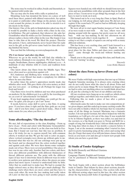The notes may be worked in tallies, braids and linenstitch, or be painted with textile ink.

The eye may also be done with a tally or painted on.

Mounting: Lene has mounted the horse on a piece of well used linen sheet, painted with diluted watercolors. An option is to paint or embroider other things on the picture. Lene has a mat around the picture, in order to be able to stretch it so it sits nicely in the frame.

Our history: One of the girls in Knipleskolen asked one day, if it would be possible to make a horse with a flute in the rear, in bobbinlace. The girl explained, that whenever she asks her Grandfather what his wishes are for Christmas or birthdays, he always replies: a horse with a flute in the rear. She found, it was time to take him at his word. We liked the project. Therefor this pattern. I have, unfortunately, never heard what his reply was to the gift, as the girl never came back for class after having finished the horse.

You can find the following on www.nyhuspotten.dk:

#### *'Piv I røv horses' and other clay flutes*

Wherever we go in the world, we will find clay whistles in most cultures. Denmark is no exception. 'Piv I røv 'heste, Nattergale, Swallerhøns, (horses, nightingales, chickens) a.s.o .- A multitude of clay whistles with it's roots and tradition from way back .

One know about clay flutes from the Middle Ages. They were often used as a protection against evil.

H.C.Andersen and Holberg have written about the 'Piv I røv' horse - even Mozart has made a symphony for children where he uses clay flutes.

In earlier times the potter's apprentices mostly made clay whistles after work. This gave them a bit extra money, as their pay was very poor – or nothing at all. Perhaps his wages was food and board!

Clay flutes were loved by children and was often purchased on markets. Or the children got it as a gift by the traveling potter, as a sort of 'advertisement' for himself.

If one kept nagging about something, one could get the answer: 'be quiet, you can get a 'piv I røv' horse'

It needs, however, some skill to carve a clay flute. A saying goes: 'if you have done it right and the flute gods are on your side – and if you have done a good deed today....Then it will make music for you, when you blow in it.'

#### **Some afterthoughts, "The day thereafter"**

We met, full of expectations, to the class, Knipling – Form og farve (Lace - Form and color) with Marianne Geissendörfer. I was also a bit nervous about it, as the class was held in German. But I found out real fast, that this was no problem. It was a bit tricky for me to express myself, but, with common efforts, it worked out fine. We got the task to color on paper, where vertical rectangles were drawn up, without quite to understand what this was for. All our colorings were put up on the board, and we discussed how the colors worked together and against each other. We were then shown some examples made out of lace. There were several possibilities: One piece of lace was in one color only. Another had two colors, and there were also different possibilities with different thicknesses of thread, different patterns aso. The point with the different types of lace was to intertwine them in different ways in order to archive new patterns and effects, where the pieces on some places had more layers. I started to understand little by little. After that we could start to make lace. We had to exempt the single colored ones, as they did not give much challenge. The challenge starts when there are more colors and they have to cross each other. By noon the lace making had really taken off. Later on that day we were going to start another project. Squares were handed out, with which we should form new patterns and new possibilities with other grounds than in the first piece of lace. I seem never to get things big enough, so I really have to start to work on it now.

This turned out to be a very long day (9am. to 8pm). Back at our lodging, we fell asleep almost right away. We did not even register if the room had a TV, and we had no difficulty sleeping through that night.

We were all set to start again Sunday morgen at 9 am. Some of us were ready to start with the lace, others were still playing around with the squares, but pretty soon we all were busy with our lace-making. In the late afternoon we all went through each other's work together. It was interesting to see that a couple of squares can end up with so many different solutions.

This has been a very exciting class, and I look forward to a following up of this event. Odense Fagskole was a great place for the class. Tables and chars were comfortable, and I came through the week-end without hurting any where.

Thank you to the people arranging this class, and thank you, Lotte, for "nursing" us along.

> *Sincerely Lene Holm Hansen*

## **About the class: Form og farver (Form and colors)**

We were 9 ladies with high expectations, that met up at Odense Fagskole Saturday morning. It is always extra exciting when one do not really know what the class is all about. Form and colors can be so many things. We were handed out shapes that we had to color, not anything where we would think about lace at all, just the coloring to the best of our abilities and ideas.

All our creations were hung up so we could see which colors could go together, and which ones was usable for lace.

Following this, we made a piece of lace after a pattern handed out to us.

Afterwards came the task to make our own compositions after given shapes, and this ended up in many exciting results. We were not able to finish a whole lot, but hope that we remember some of all the things we learned. Marianne was a fantastic teacher. I do not speak German, but others helped me with the translation, so I still got a lot out of the class. It was wonderful to be in Odense Fagskole, as there was coffee, tea and fruit in the recesses, so a big thank you goes to Netop and KID for a couple of long, but wonderful days. I did not think much about the long days when in class, it was mostly a concern before it began. I am at the moment continuing what I started in class, and it is pretty fascinating using all the colors and seeing what they do. I hope that many of us will join future classes being offered, as you learn a lot and also get to know new people with whom you can have a good chat.

## **Et Studie af Tønder Kniplinger**

By Bobbi Donnelly and Michael Giusiana

Price: 298 Dkr.

Language: Danish, English and German

Can be purchased at Museum Sønderjylland Kulturhistorie Tønder

The book begins with a short section about the bobbinlace trade in Tønder. That follows by three short sections, describing the characteristics of Tønderlace. One section tells about the different sewing edges used in this lace, the other section about the big honeycomb holes (Copenhagen holes) and the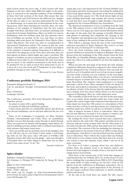third section about the picot edge. A final section tells what happens to the lace when using different angles in the pricking. It is refereed to the museum numbers of the bobbinlace in these first four sections of the book. This means that one have to go back and forth between the different lace samples all the time in order to see and also understand the text. This is a disadvantage, as it causes lots of interruptions in the reading process. After these introductory sections, there are some pictures of the samples of Tønderlace that the lace traders brought with them, and finely there are pictures, prickings and work sheets for many Tønderlaces. There are both very narrow bobbinlaces with few bobbins used, but also patterns where lots of bobbins are needed. At the very end, there are three prickings with work sheets for Danmark's Store Hjerte (Denmark's Big Heart). The book can only be recommended to experienced Tønderlace makers. The reason is, that the work sheets sometimes are incomplete, and a detailed description of the numbers of twists,is missing. Sometimes it is difficult to read where the gimps go on the work sheet and some lines are interrupted on places, which might also cause a problem. The number of bobbins needed is mentioned by each pattern. This is different from what we do in Denmark. We state how many pair we need, so the numbers mentioned in the book, has to be divided by two in order to know how many pairs to use. It is all in all a very nice book,and if Tønderlace is your thing, it definitely belongs in your collection.

*Reviewed by Lone Nielsen*

#### **Conference portfolio Hattingen 2014**

Deutscher Klöppelverband e.V.

Can be purchased through: www.deutscher-kloppelverband. de

Price: 25,00 Euro Language: German

The Conference portfolio 2014 from Deutscher Klöppelverband has arrived.

As usual, it comes with a spiral binding.

It contains 36 different bobbinlace patterns.

Colors, forms and stile are wonderfully mixed, and shows us how diverse bobbinlace can be and how different the use of it is.

Some of the techniques I recognized, are Idria, Torchon, Flemish, Chrysantemum and Cluny. There are possibilities, whether you use thin threads, coarse threads or metal threads. There are patterns for shawls, wall hangings, wind chimes, details for clothing, jewelery, doilies with or without mounting on cloth, pictures and much, much more.

I have personally put my portfolio away. If my daughter sees it, she will give me no rest before I have made a wall hanging with an owl. The piece takes 100 pairs of bobbins with Egyptian cotton, 60/2, plus several gimps – and even though it is beautiful, there are other things to finish first. On an other hand, it has come on my "to do" list.

*Susanne Andersen*

#### **Spitze kleidet**

Publisher: Deutscher Klöppelverband e.V.

Ed: Gräemer, S.; Hempel, P.P.; Luderich, B.; Stang, M.; Steur, M.

ISBN 13: 978-3-934210-90-5

Language: German

Price:  $645.00 +$  delivery

The book can be bought at: http://www.deutscher-kloeppelverband.de/index.php/component/jshopping/product/ view/1/96?Itemid=242

Again this year I am impressed by the German Bobbin Lace Association and their involvement concerning the publication of the book 'Spitze kleidet'. The theme of the book is clothing of lace and all the aspects of it. The book throws light on lace made clothing historically and contains the newest creations as well that have been brought to light through a big project organised by the German Bobbin Lace Association.

The historical examination of lace in clothing from the 16th to the 20th century covers a wide field. It is pleasant reading where you on a few pages get much factual information about the topic. At the same time the passage is lavishly illustrated with photos of paintings that emphasise the message in the text. Together text and photos give knowledge of the development of lace making in the period of time referred to.

Then follows a passage about the lace in the royal Danish collection described by Katia Johansen. The focus is on lace from the rein of Christian IV to Christian VII.

Next, the book continues with a description of fabulous dresses exhibited at museums of fashion in Belgium. There are dresses from the beginning of the 20th century, from the First World War, in Chantilly, Brüssler, appliqué lace and machinemade lace. Here it is really possible to see how the fashion has changed.

When you turn the next page in the book, the style changes completely. Marianne Stang has composed a fine article about dresses designed by the Czech Eva Fialová. You can look forward to it as it is beautiful, and if you feel up for more magnificent lace made creations, you can continue on the next pages. Here an article is describing where you can get a professional bachelor degree in artistic lace at the college of national art in Saint Petersburg. The students' final assignment is to design and make a dress of lace. More examples of this are shown in the book, and in photos somewhere else in this magazine there are photos of some of the dresses that the students had created and a student from the school talked about it at the German congress in Hattingen. They are really impressive work.

The versatility in this book has no end and on the next pages there is an article about machine-made lace from Calais and Caudry. The article begins with a historical introduction to machine-made lace from the 19th century to a description of how today sketches of flowers and decorations are transformed to machine-made lace, which we still see on all kinds of clothes.

Also in lingerie because if there is somewhere where lace has left and still leave its mark it is in relation to women's underwear or as it is called in German: die Unterwäsche.

By reading the book I have learned that men's underwear can be dated to the end of the 19th century and that men's underwear with fly is from around 1850. On the other hand it is not until well into the 20th century that underwear for women is described. The creation of the bra including the drawing for the application for the patent of the bra in 1889 is in this article about lingerie. And then it is also described how lace found its way to underwear. That I will let the readers find out. Perhaps I will return to it in a future article. But there has to be at least one reason to buy this fantastic book, which I am not at all done reviewing.

For there is of course a passage about lace and children's clothes. Here the primary focus is on bonnets, jackets and dresses but I just happen to wonder if lace is not used on christening dresses in Germany.

Then there is the second part of the book that engages in experimental lace for clothing. Here are works of lace in relation to clothing that is produced from 2000 to 2013. Describing the many fields of study would go too far but a look on the photos from the exhibitions in Hattingen somewhere else in the magazine will give a good impression of the diversity in the lace made creations from waistcoats to shawls, jewellery, jackets and dresses.

At the end of the book there are, under the title: experi-